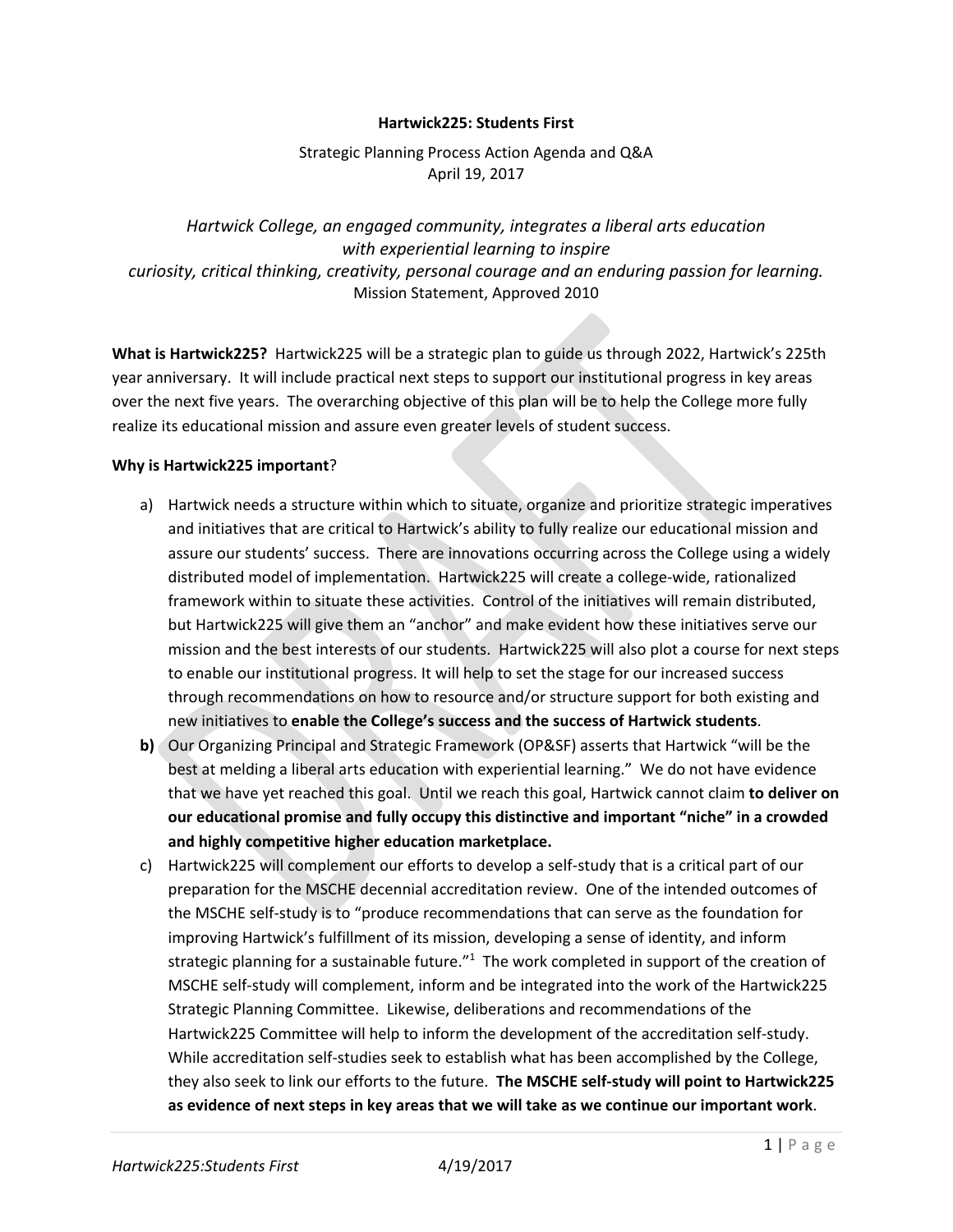### **Hartwick225: Students First**

## Strategic Planning Process Action Agenda and Q&A April 19, 2017

*Hartwick College, an engaged community, integrates a liberal arts education with experiential learning to inspire curiosity, critical thinking, creativity, personal courage and an enduring passion for learning.* Mission Statement, Approved 2010

**What is Hartwick225?** Hartwick225 will be a strategic plan to guide us through 2022, Hartwick's 225th year anniversary. It will include practical next steps to support our institutional progress in key areas over the next five years. The overarching objective of this plan will be to help the College more fully realize its educational mission and assure even greater levels of student success.

### **Why is Hartwick225 important**?

- a) Hartwick needs a structure within which to situate, organize and prioritize strategic imperatives and initiatives that are critical to Hartwick's ability to fully realize our educational mission and assure our students' success. There are innovations occurring across the College using a widely distributed model of implementation. Hartwick225 will create a college-wide, rationalized framework within to situate these activities. Control of the initiatives will remain distributed, but Hartwick225 will give them an "anchor" and make evident how these initiatives serve our mission and the best interests of our students. Hartwick225 will also plot a course for next steps to enable our institutional progress. It will help to set the stage for our increased success through recommendations on how to resource and/or structure support for both existing and new initiatives to **enable the College's success and the success of Hartwick students**.
- **b)** Our Organizing Principal and Strategic Framework (OP&SF) asserts that Hartwick "will be the best at melding a liberal arts education with experiential learning." We do not have evidence that we have yet reached this goal. Until we reach this goal, Hartwick cannot claim **to deliver on our educational promise and fully occupy this distinctive and important "niche" in a crowded and highly competitive higher education marketplace.**
- c) Hartwick225 will complement our efforts to develop a self-study that is a critical part of our preparation for the MSCHE decennial accreditation review. One of the intended outcomes of the MSCHE self-study is to "produce recommendations that can serve as the foundation for improving Hartwick's fulfillment of its mission, developing a sense of identity, and inform strategic planning for a sustainable future."<sup>1</sup> The work completed in support of the creation of MSCHE self-study will complement, inform and be integrated into the work of the Hartwick225 Strategic Planning Committee. Likewise, deliberations and recommendations of the Hartwick225 Committee will help to inform the development of the accreditation self-study. While accreditation self-studies seek to establish what has been accomplished by the College, they also seek to link our efforts to the future. **The MSCHE self-study will point to Hartwick225 as evidence of next steps in key areas that we will take as we continue our important work**.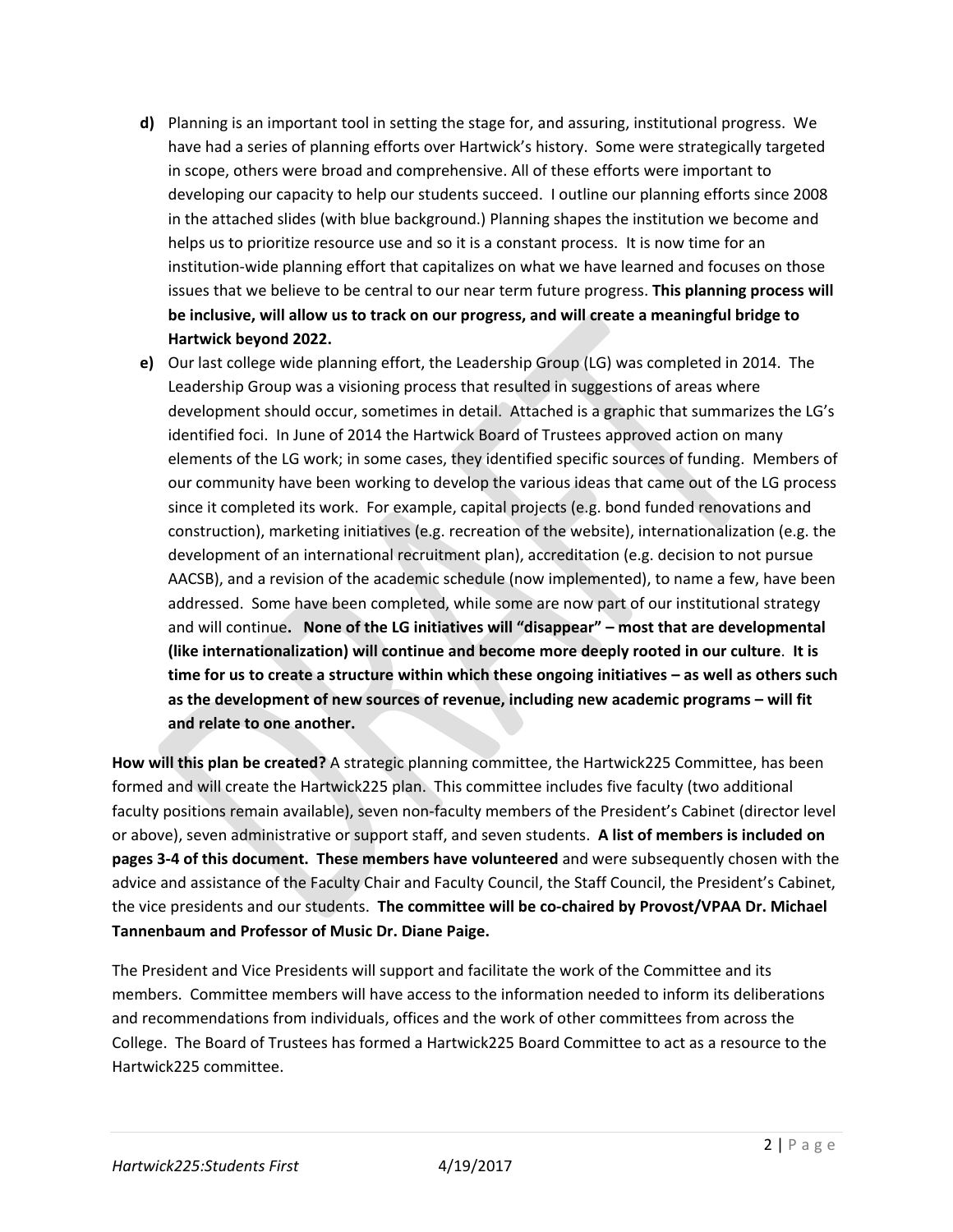- **d)** Planning is an important tool in setting the stage for, and assuring, institutional progress. We have had a series of planning efforts over Hartwick's history. Some were strategically targeted in scope, others were broad and comprehensive. All of these efforts were important to developing our capacity to help our students succeed. I outline our planning efforts since 2008 in the attached slides (with blue background.) Planning shapes the institution we become and helps us to prioritize resource use and so it is a constant process. It is now time for an institution-wide planning effort that capitalizes on what we have learned and focuses on those issues that we believe to be central to our near term future progress. **This planning process will be inclusive, will allow us to track on our progress, and will create a meaningful bridge to Hartwick beyond 2022.**
- **e)** Our last college wide planning effort, the Leadership Group (LG) was completed in 2014. The Leadership Group was a visioning process that resulted in suggestions of areas where development should occur, sometimes in detail. Attached is a graphic that summarizes the LG's identified foci. In June of 2014 the Hartwick Board of Trustees approved action on many elements of the LG work; in some cases, they identified specific sources of funding. Members of our community have been working to develop the various ideas that came out of the LG process since it completed its work. For example, capital projects (e.g. bond funded renovations and construction), marketing initiatives (e.g. recreation of the website), internationalization (e.g. the development of an international recruitment plan), accreditation (e.g. decision to not pursue AACSB), and a revision of the academic schedule (now implemented), to name a few, have been addressed. Some have been completed, while some are now part of our institutional strategy and will continue**. None of the LG initiatives will "disappear" – most that are developmental (like internationalization) will continue and become more deeply rooted in our culture**. **It is time for us to create a structure within which these ongoing initiatives – as well as others such as the development of new sources of revenue, including new academic programs – will fit and relate to one another.**

**How will this plan be created?** A strategic planning committee, the Hartwick225 Committee, has been formed and will create the Hartwick225 plan. This committee includes five faculty (two additional faculty positions remain available), seven non-faculty members of the President's Cabinet (director level or above), seven administrative or support staff, and seven students. **A list of members is included on pages 3-4 of this document. These members have volunteered** and were subsequently chosen with the advice and assistance of the Faculty Chair and Faculty Council, the Staff Council, the President's Cabinet, the vice presidents and our students. **The committee will be co-chaired by Provost/VPAA Dr. Michael Tannenbaum and Professor of Music Dr. Diane Paige.**

The President and Vice Presidents will support and facilitate the work of the Committee and its members. Committee members will have access to the information needed to inform its deliberations and recommendations from individuals, offices and the work of other committees from across the College. The Board of Trustees has formed a Hartwick225 Board Committee to act as a resource to the Hartwick225 committee.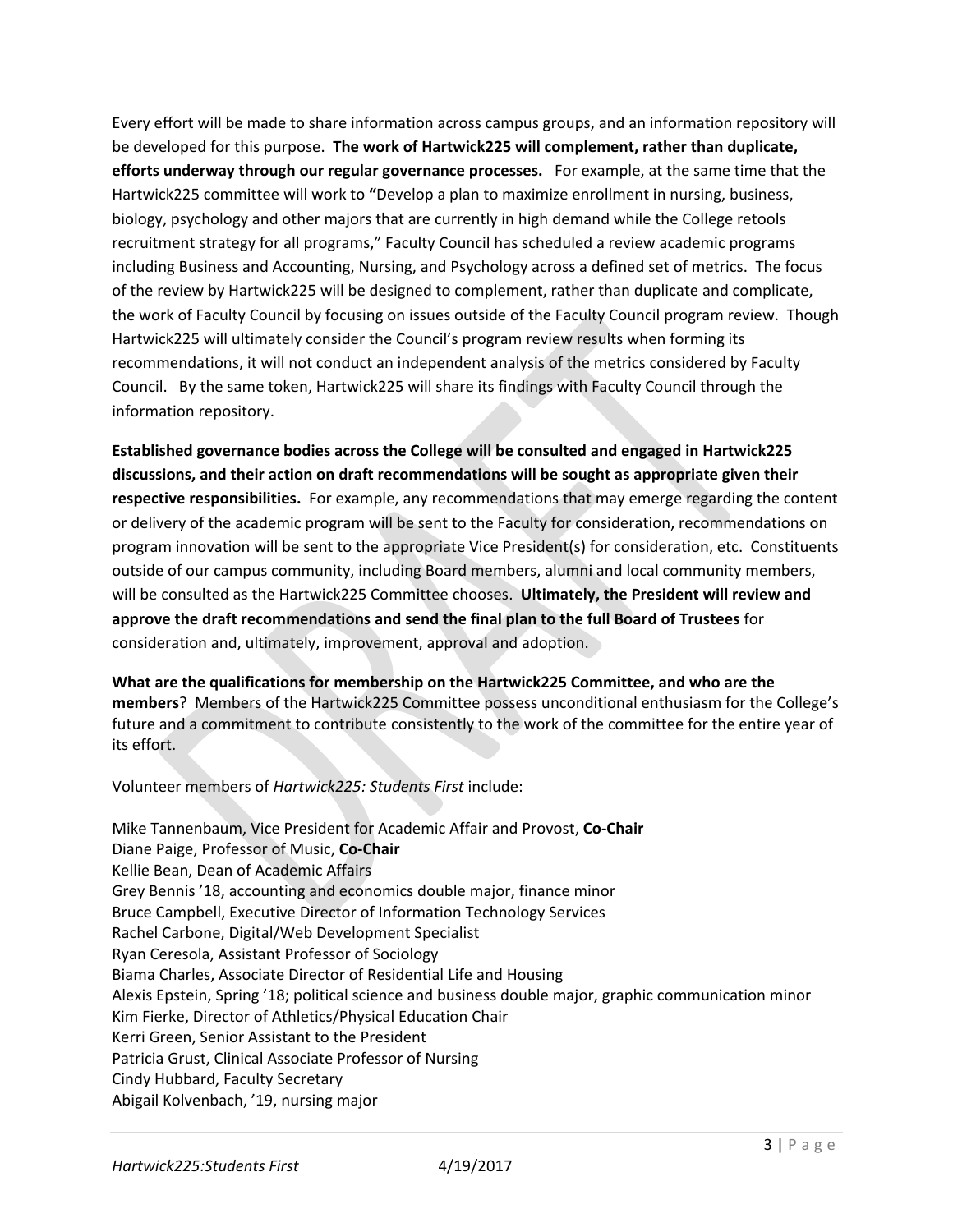Every effort will be made to share information across campus groups, and an information repository will be developed for this purpose. **The work of Hartwick225 will complement, rather than duplicate, efforts underway through our regular governance processes.** For example, at the same time that the Hartwick225 committee will work to **"**Develop a plan to maximize enrollment in nursing, business, biology, psychology and other majors that are currently in high demand while the College retools recruitment strategy for all programs," Faculty Council has scheduled a review academic programs including Business and Accounting, Nursing, and Psychology across a defined set of metrics. The focus of the review by Hartwick225 will be designed to complement, rather than duplicate and complicate, the work of Faculty Council by focusing on issues outside of the Faculty Council program review. Though Hartwick225 will ultimately consider the Council's program review results when forming its recommendations, it will not conduct an independent analysis of the metrics considered by Faculty Council. By the same token, Hartwick225 will share its findings with Faculty Council through the information repository.

**Established governance bodies across the College will be consulted and engaged in Hartwick225 discussions, and their action on draft recommendations will be sought as appropriate given their respective responsibilities.** For example, any recommendations that may emerge regarding the content or delivery of the academic program will be sent to the Faculty for consideration, recommendations on program innovation will be sent to the appropriate Vice President(s) for consideration, etc. Constituents outside of our campus community, including Board members, alumni and local community members, will be consulted as the Hartwick225 Committee chooses. **Ultimately, the President will review and approve the draft recommendations and send the final plan to the full Board of Trustees** for consideration and, ultimately, improvement, approval and adoption.

**What are the qualifications for membership on the Hartwick225 Committee, and who are the members**? Members of the Hartwick225 Committee possess unconditional enthusiasm for the College's future and a commitment to contribute consistently to the work of the committee for the entire year of its effort.

Volunteer members of *Hartwick225: Students First* include:

Mike Tannenbaum, Vice President for Academic Affair and Provost, **Co-Chair** Diane Paige, Professor of Music, **Co-Chair** Kellie Bean, Dean of Academic Affairs Grey Bennis '18, accounting and economics double major, finance minor Bruce Campbell, Executive Director of Information Technology Services Rachel Carbone, Digital/Web Development Specialist Ryan Ceresola, Assistant Professor of Sociology Biama Charles, Associate Director of Residential Life and Housing Alexis Epstein, Spring '18; political science and business double major, graphic communication minor Kim Fierke, Director of Athletics/Physical Education Chair Kerri Green, Senior Assistant to the President Patricia Grust, Clinical Associate Professor of Nursing Cindy Hubbard, Faculty Secretary Abigail Kolvenbach, '19, nursing major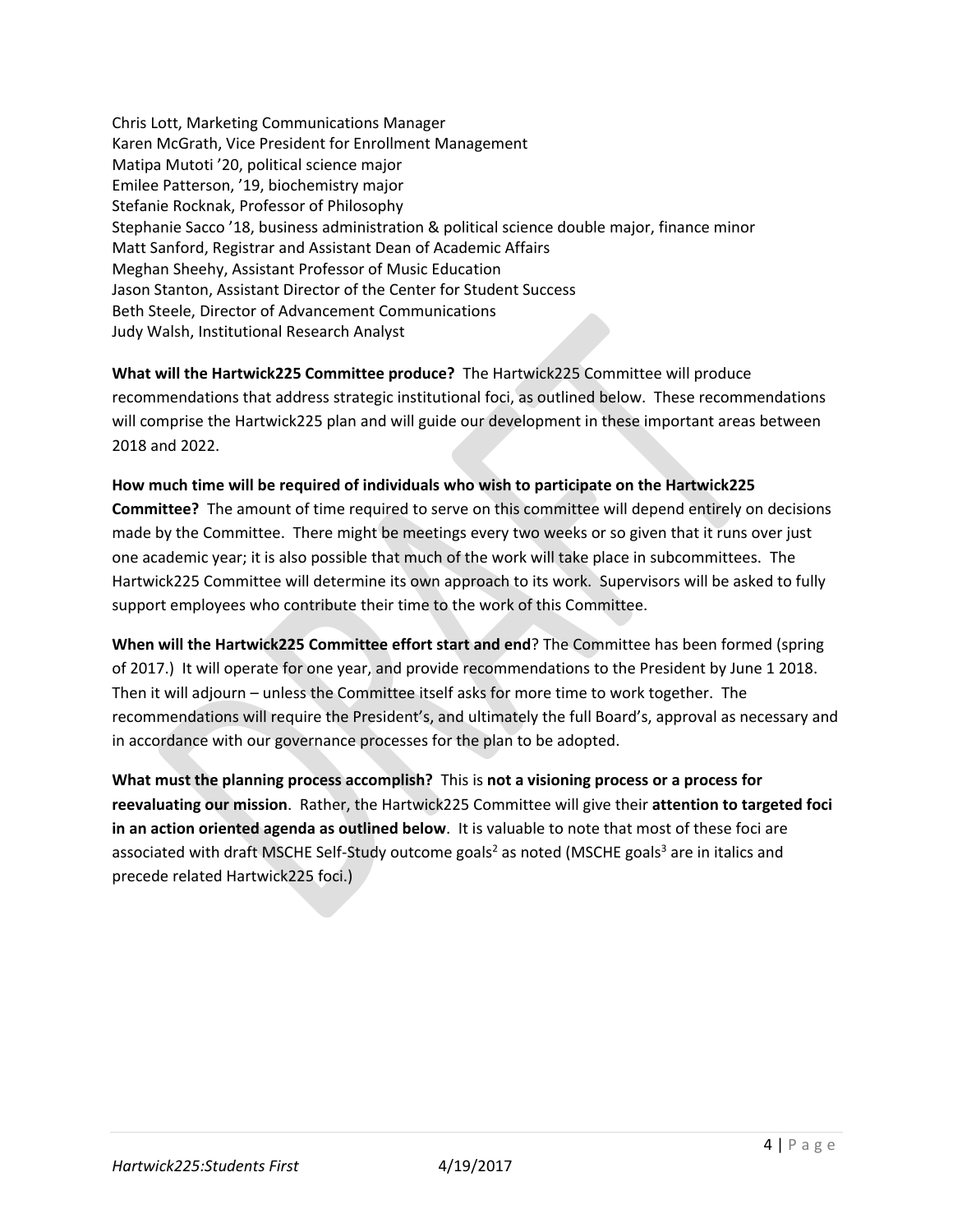Chris Lott, Marketing Communications Manager Karen McGrath, Vice President for Enrollment Management Matipa Mutoti '20, political science major Emilee Patterson, '19, biochemistry major Stefanie Rocknak, Professor of Philosophy Stephanie Sacco '18, business administration & political science double major, finance minor Matt Sanford, Registrar and Assistant Dean of Academic Affairs Meghan Sheehy, Assistant Professor of Music Education Jason Stanton, Assistant Director of the Center for Student Success Beth Steele, Director of Advancement Communications Judy Walsh, Institutional Research Analyst

**What will the Hartwick225 Committee produce?** The Hartwick225 Committee will produce recommendations that address strategic institutional foci, as outlined below. These recommendations will comprise the Hartwick225 plan and will guide our development in these important areas between 2018 and 2022.

**How much time will be required of individuals who wish to participate on the Hartwick225 Committee?** The amount of time required to serve on this committee will depend entirely on decisions made by the Committee. There might be meetings every two weeks or so given that it runs over just one academic year; it is also possible that much of the work will take place in subcommittees. The Hartwick225 Committee will determine its own approach to its work. Supervisors will be asked to fully support employees who contribute their time to the work of this Committee.

**When will the Hartwick225 Committee effort start and end**? The Committee has been formed (spring of 2017.) It will operate for one year, and provide recommendations to the President by June 1 2018. Then it will adjourn – unless the Committee itself asks for more time to work together. The recommendations will require the President's, and ultimately the full Board's, approval as necessary and in accordance with our governance processes for the plan to be adopted.

**What must the planning process accomplish?** This is **not a visioning process or a process for reevaluating our mission**. Rather, the Hartwick225 Committee will give their **attention to targeted foci in an action oriented agenda as outlined below**. It is valuable to note that most of these foci are associated with draft MSCHE Self-Study outcome goals<sup>2</sup> as noted (MSCHE goals<sup>3</sup> are in italics and precede related Hartwick225 foci.)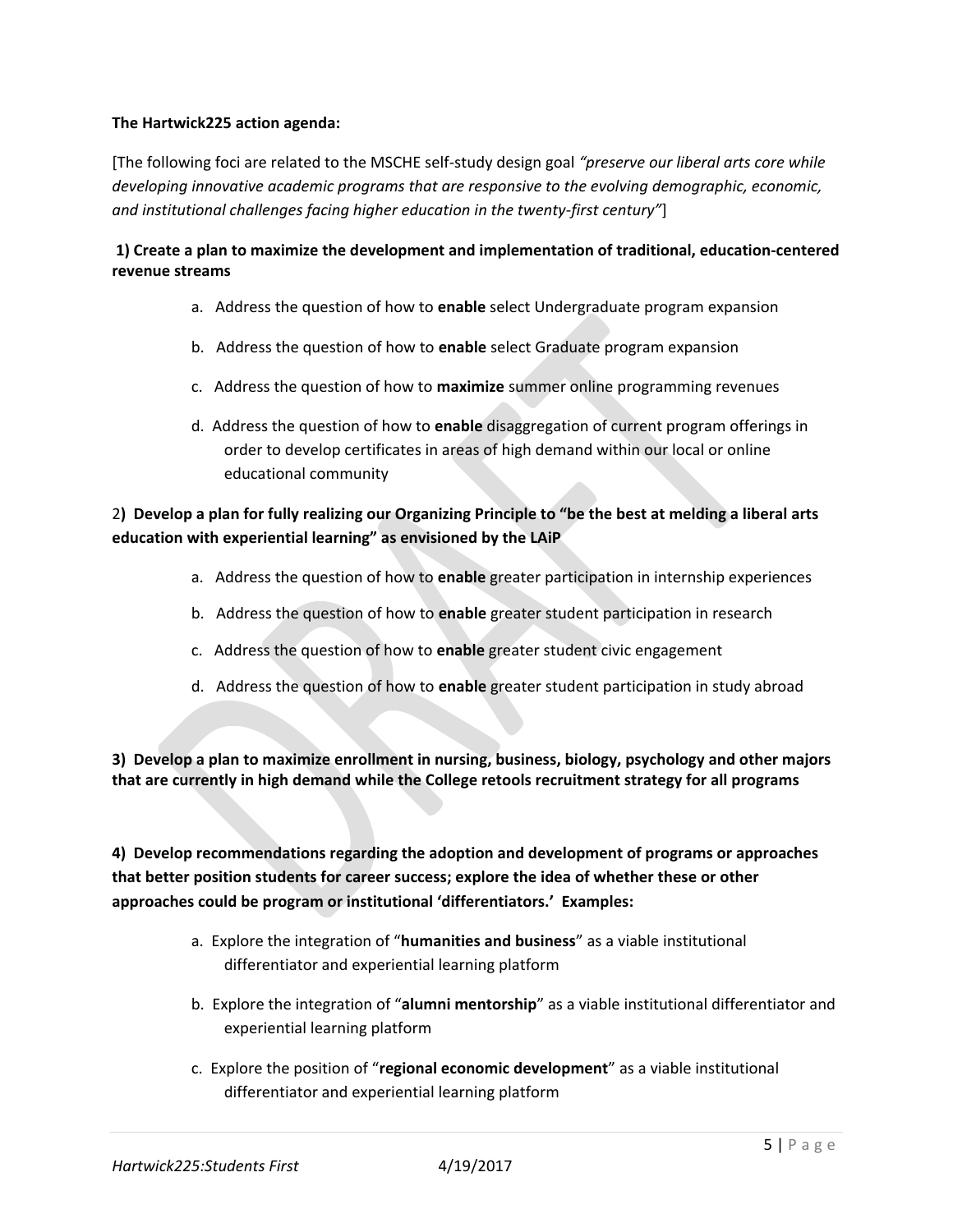## **The Hartwick225 action agenda:**

[The following foci are related to the MSCHE self-study design goal *"preserve our liberal arts core while developing innovative academic programs that are responsive to the evolving demographic, economic, and institutional challenges facing higher education in the twenty-first century"*]

## **1) Create a plan to maximize the development and implementation of traditional, education-centered revenue streams**

- a. Address the question of how to **enable** select Undergraduate program expansion
- b. Address the question of how to **enable** select Graduate program expansion
- c. Address the question of how to **maximize** summer online programming revenues
- d. Address the question of how to **enable** disaggregation of current program offerings in order to develop certificates in areas of high demand within our local or online educational community

## 2**) Develop a plan for fully realizing our Organizing Principle to "be the best at melding a liberal arts education with experiential learning" as envisioned by the LAiP**

- a. Address the question of how to **enable** greater participation in internship experiences
- b. Address the question of how to **enable** greater student participation in research
- c. Address the question of how to **enable** greater student civic engagement
- d. Address the question of how to **enable** greater student participation in study abroad

**3) Develop a plan to maximize enrollment in nursing, business, biology, psychology and other majors that are currently in high demand while the College retools recruitment strategy for all programs**

**4) Develop recommendations regarding the adoption and development of programs or approaches that better position students for career success; explore the idea of whether these or other approaches could be program or institutional 'differentiators.' Examples:**

- a. Explore the integration of "**humanities and business**" as a viable institutional differentiator and experiential learning platform
- b. Explore the integration of "**alumni mentorship**" as a viable institutional differentiator and experiential learning platform
- c. Explore the position of "**regional economic development**" as a viable institutional differentiator and experiential learning platform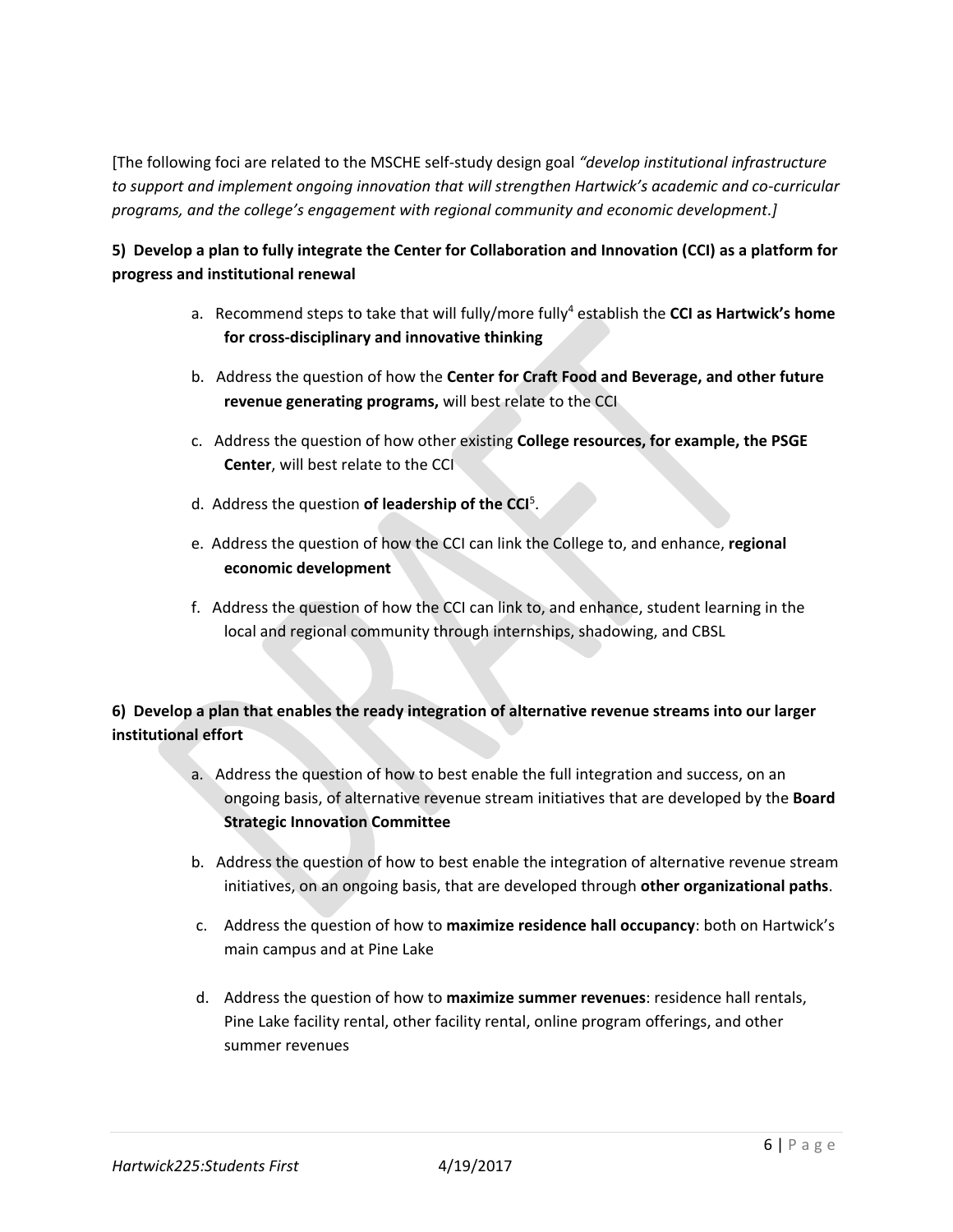[The following foci are related to the MSCHE self-study design goal *"develop institutional infrastructure to support and implement ongoing innovation that will strengthen Hartwick's academic and co-curricular programs, and the college's engagement with regional community and economic development.]*

## **5) Develop a plan to fully integrate the Center for Collaboration and Innovation (CCI) as a platform for progress and institutional renewal**

- a. Recommend steps to take that will fully/more fully<sup>4</sup> establish the **CCI as Hartwick's home for cross-disciplinary and innovative thinking**
- b. Address the question of how the **Center for Craft Food and Beverage, and other future revenue generating programs,** will best relate to the CCI
- c. Address the question of how other existing **College resources, for example, the PSGE Center**, will best relate to the CCI
- d. Address the question **of leadership of the CCI**<sup>5</sup> .
	- e. Address the question of how the CCI can link the College to, and enhance, **regional economic development**
	- f. Address the question of how the CCI can link to, and enhance, student learning in the local and regional community through internships, shadowing, and CBSL

# **6) Develop a plan that enables the ready integration of alternative revenue streams into our larger institutional effort**

- a. Address the question of how to best enable the full integration and success, on an ongoing basis, of alternative revenue stream initiatives that are developed by the **Board Strategic Innovation Committee**
- b. Address the question of how to best enable the integration of alternative revenue stream initiatives, on an ongoing basis, that are developed through **other organizational paths**.
- c. Address the question of how to **maximize residence hall occupancy**: both on Hartwick's main campus and at Pine Lake
- d. Address the question of how to **maximize summer revenues**: residence hall rentals, Pine Lake facility rental, other facility rental, online program offerings, and other summer revenues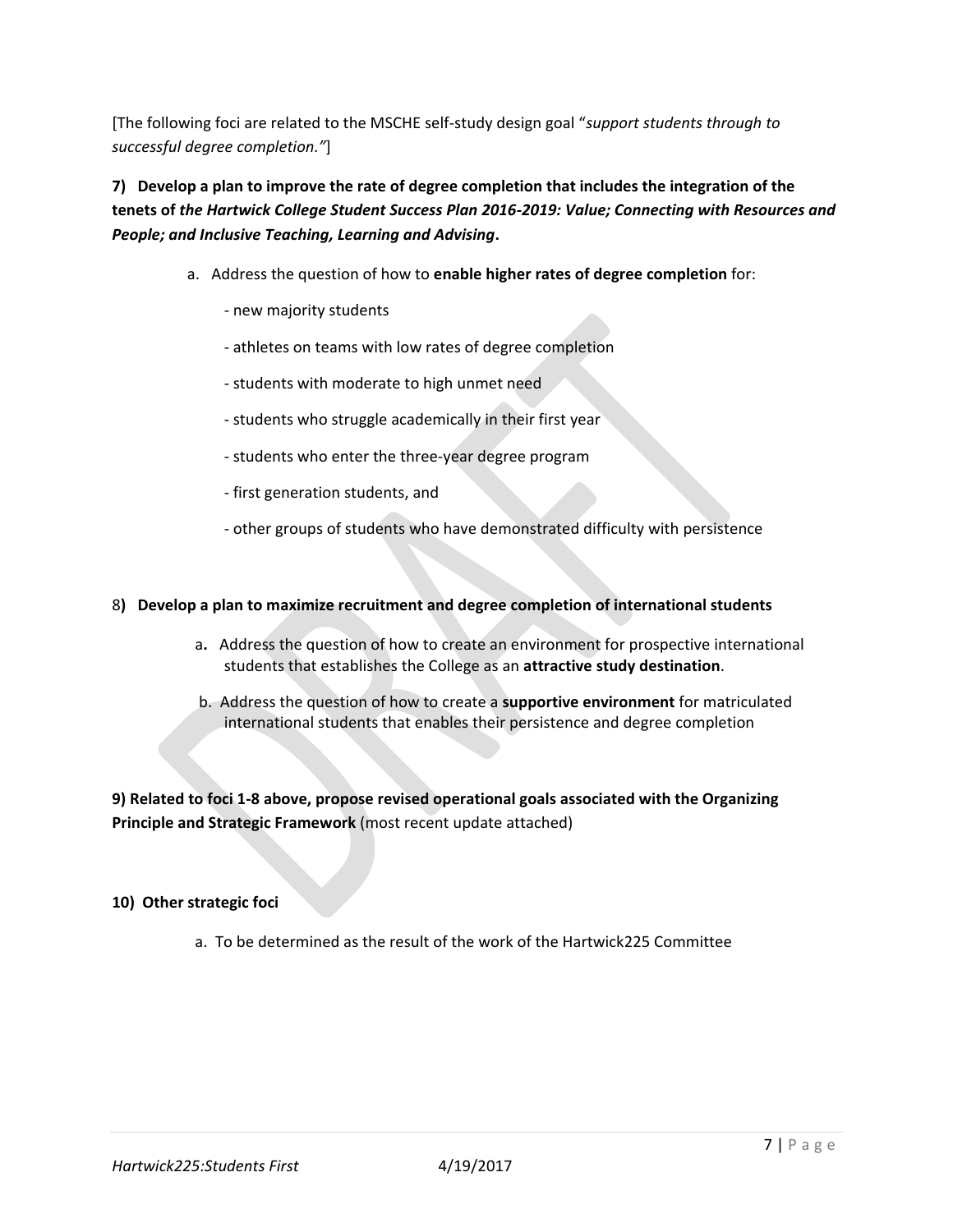[The following foci are related to the MSCHE self-study design goal "*support students through to successful degree completion."*]

**7) Develop a plan to improve the rate of degree completion that includes the integration of the tenets of** *the Hartwick College Student Success Plan 2016-2019: Value; Connecting with Resources and People; and Inclusive Teaching, Learning and Advising***.**

- a. Address the question of how to **enable higher rates of degree completion** for:
	- new majority students
	- athletes on teams with low rates of degree completion
	- students with moderate to high unmet need
	- students who struggle academically in their first year
	- students who enter the three-year degree program
	- first generation students, and
	- other groups of students who have demonstrated difficulty with persistence

### 8**) Develop a plan to maximize recruitment and degree completion of international students**

- a**.** Address the question of how to create an environment for prospective international students that establishes the College as an **attractive study destination**.
- b. Address the question of how to create a **supportive environment** for matriculated international students that enables their persistence and degree completion

**9) Related to foci 1-8 above, propose revised operational goals associated with the Organizing Principle and Strategic Framework** (most recent update attached)

## **10) Other strategic foci**

a. To be determined as the result of the work of the Hartwick225 Committee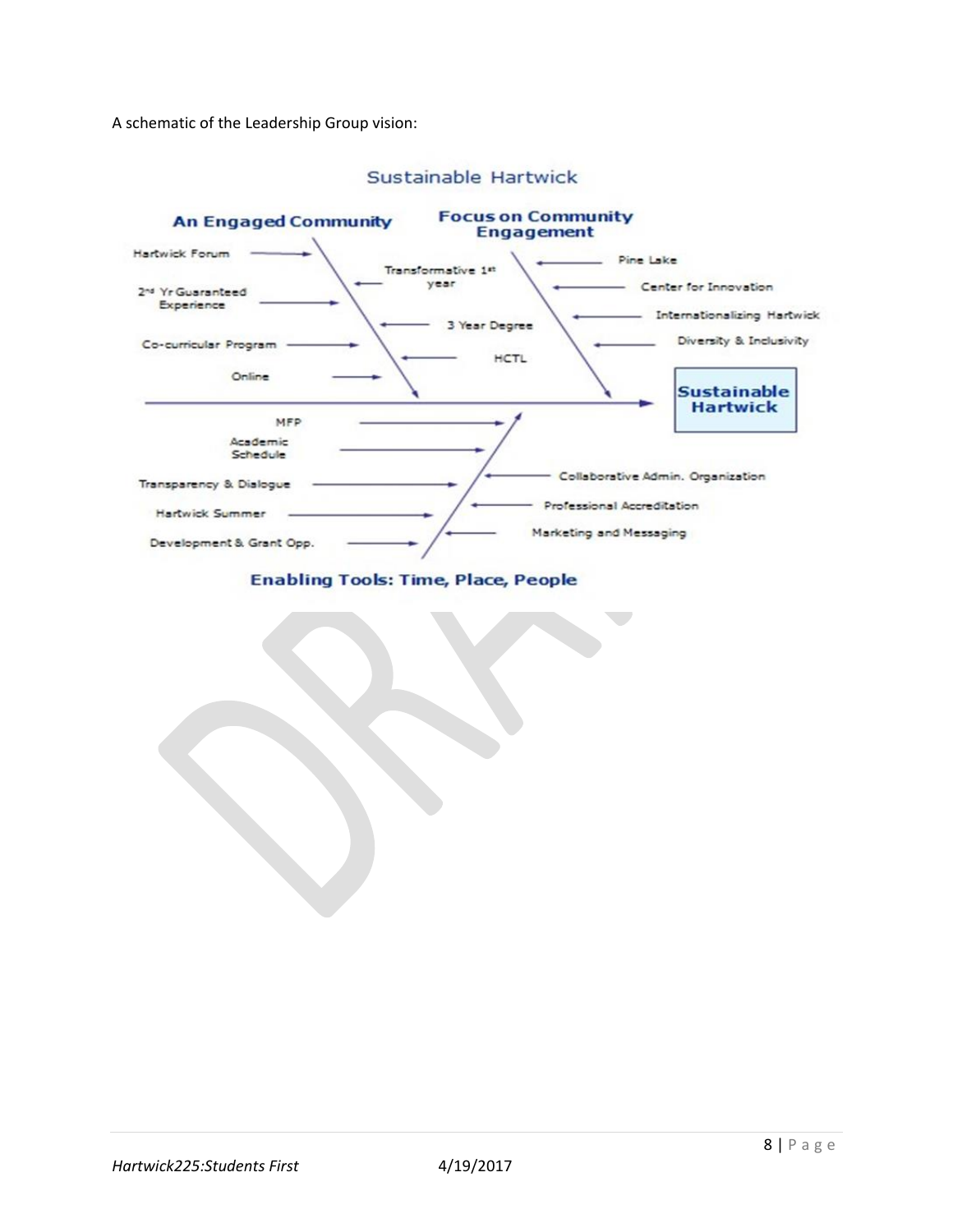A schematic of the Leadership Group vision:



## Sustainable Hartwick

**Enabling Tools: Time, Place, People**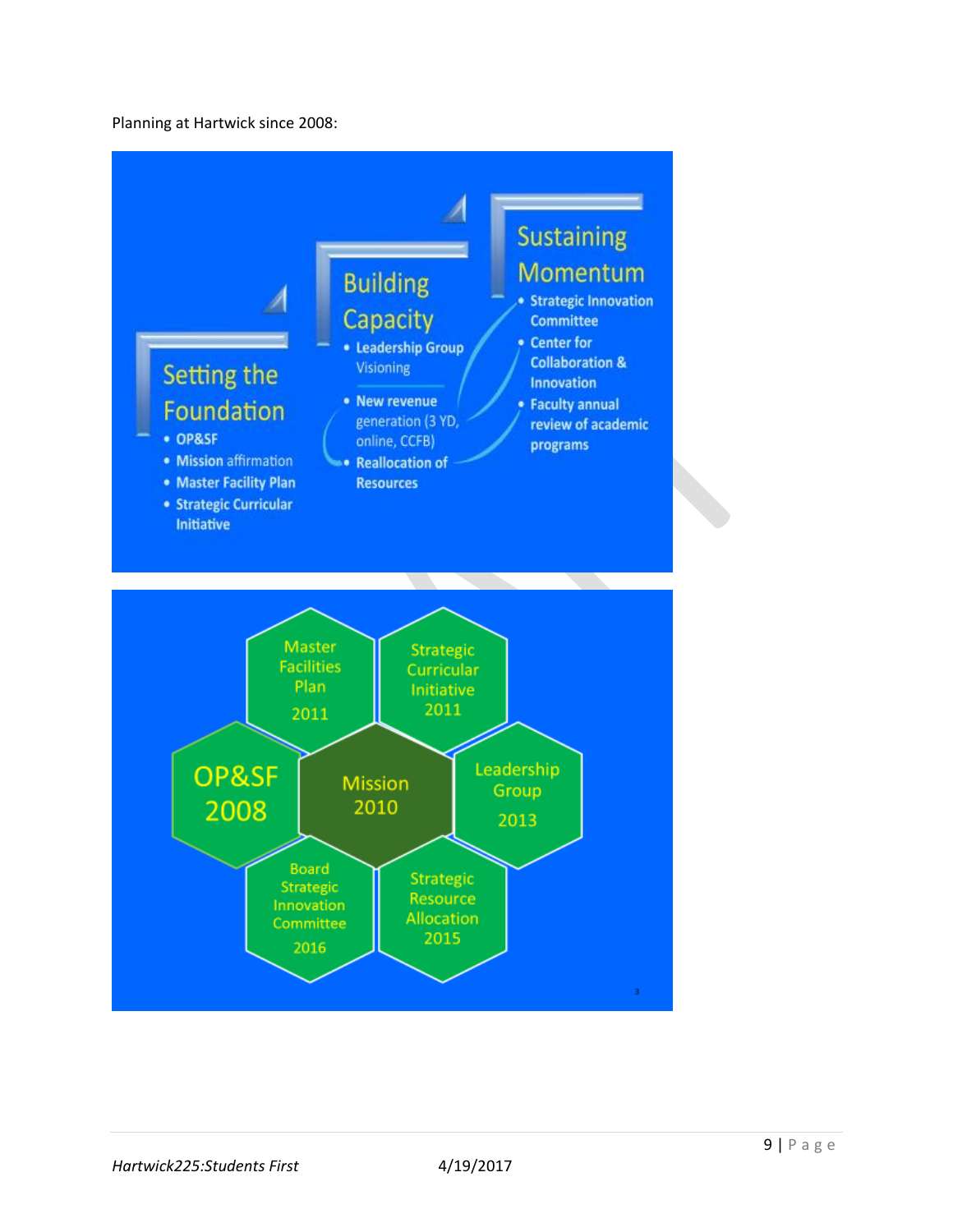### Planning at Hartwick since 2008:

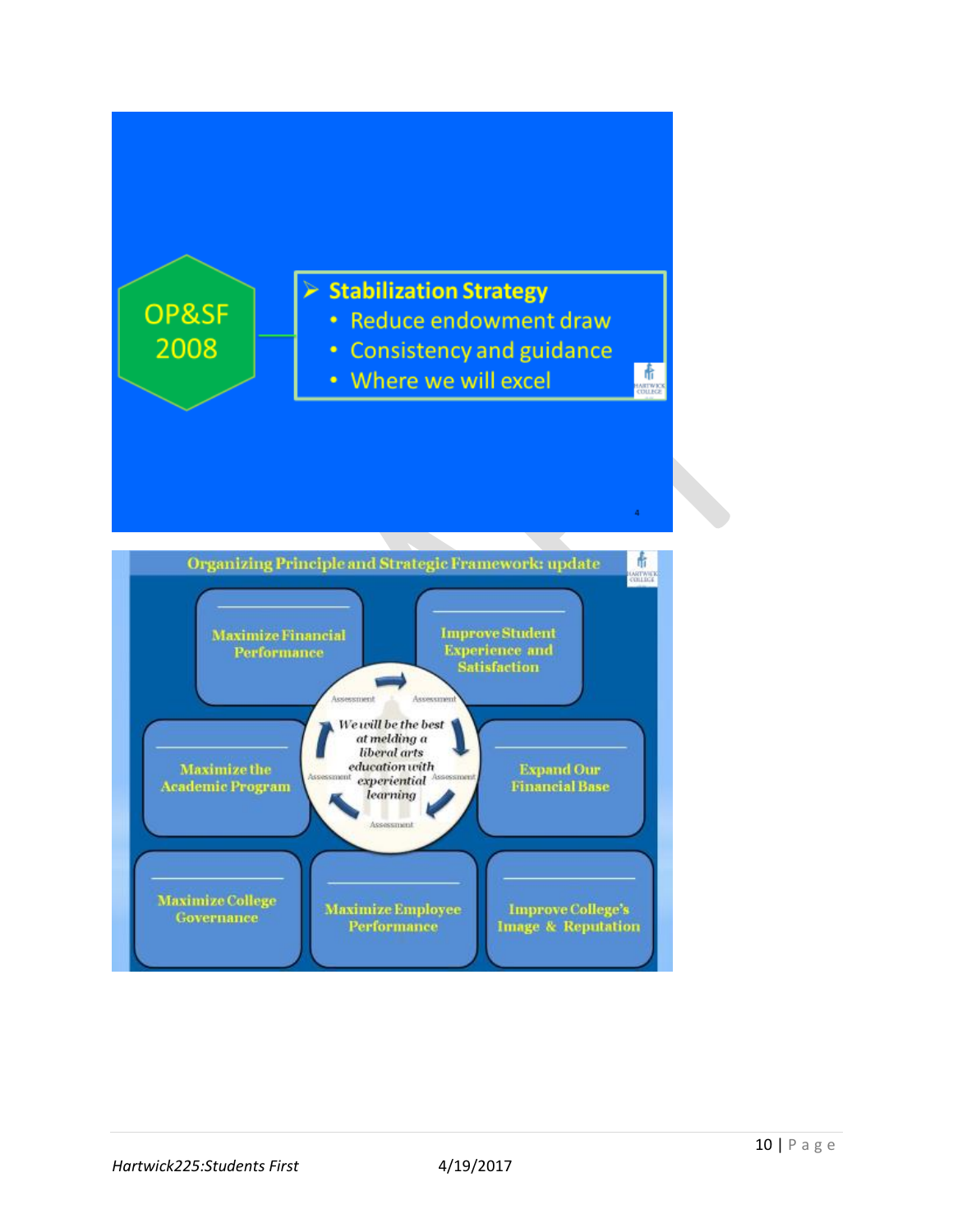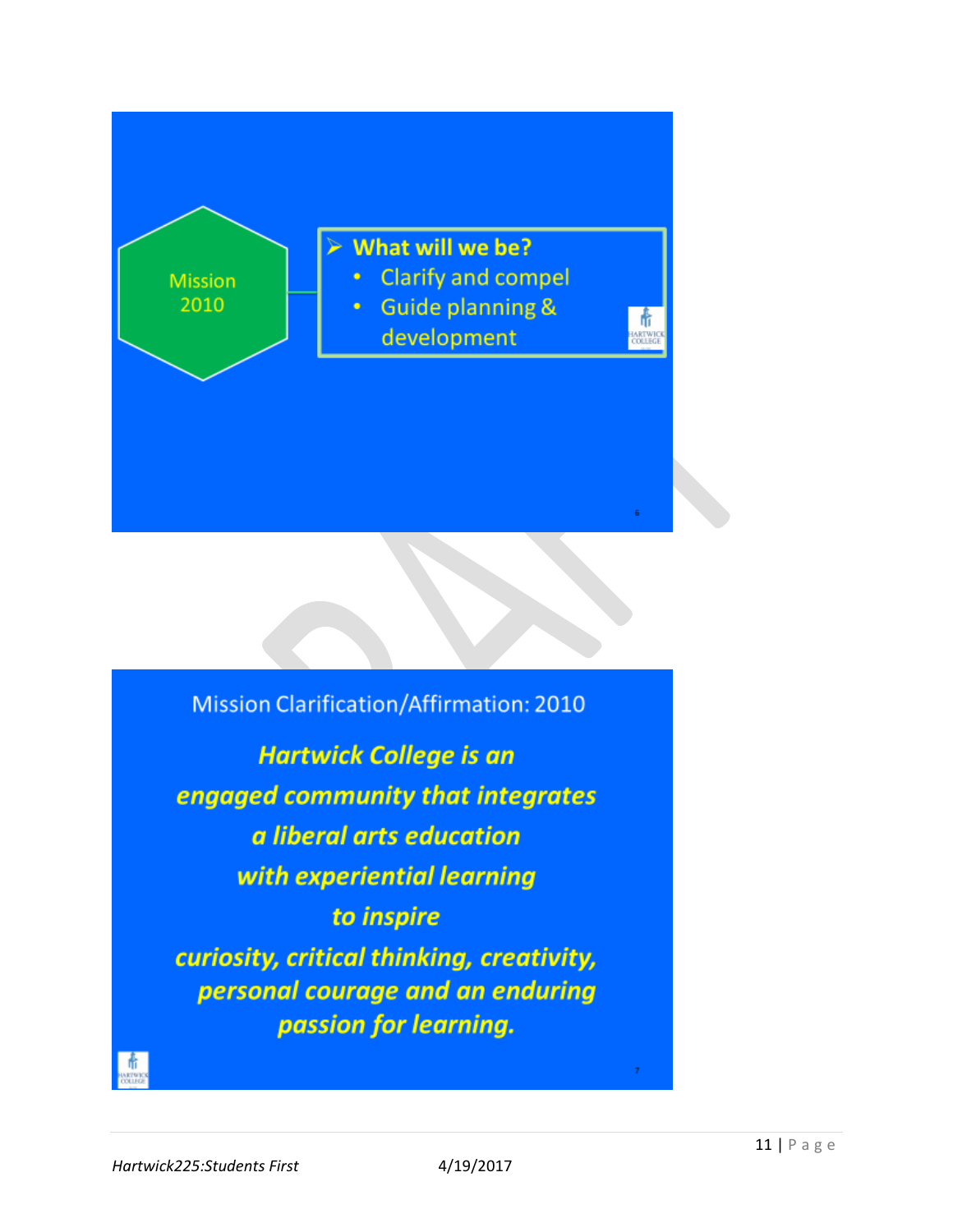

**Mission Clarification/Affirmation: 2010 Hartwick College is an** engaged community that integrates a liberal arts education with experiential learning to inspire curiosity, critical thinking, creativity, personal courage and an enduring passion for learning.  $\frac{1}{\frac{1}{\frac{1}{\sqrt{1+\frac{1}{\sqrt{1+\frac{1}{\sqrt{1+\frac{1}{\sqrt{1+\frac{1}{\sqrt{1+\frac{1}{\sqrt{1+\frac{1}{\sqrt{1+\frac{1}{\sqrt{1+\frac{1}{\sqrt{1+\frac{1}{\sqrt{1+\frac{1}{\sqrt{1+\frac{1}{\sqrt{1+\frac{1}{\sqrt{1+\frac{1}{\sqrt{1+\frac{1}{\sqrt{1+\frac{1}{\sqrt{1+\frac{1}{\sqrt{1+\frac{1}{\sqrt{1+\frac{1}{\sqrt{1+\frac{1}{\sqrt{1+\frac{1}{\sqrt{1+\frac{1}{\sqrt{1+\frac{1}{\sqrt{1+\frac{$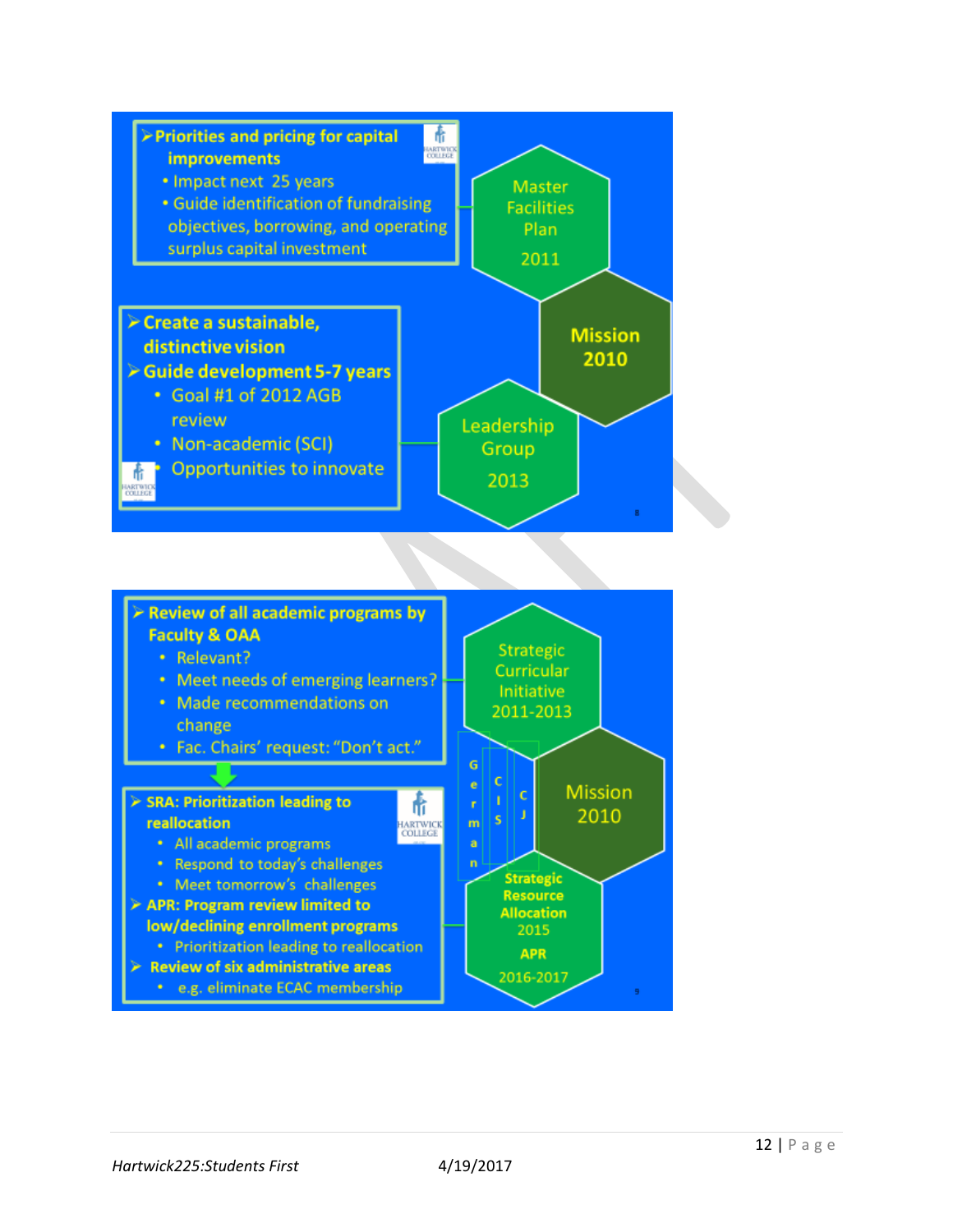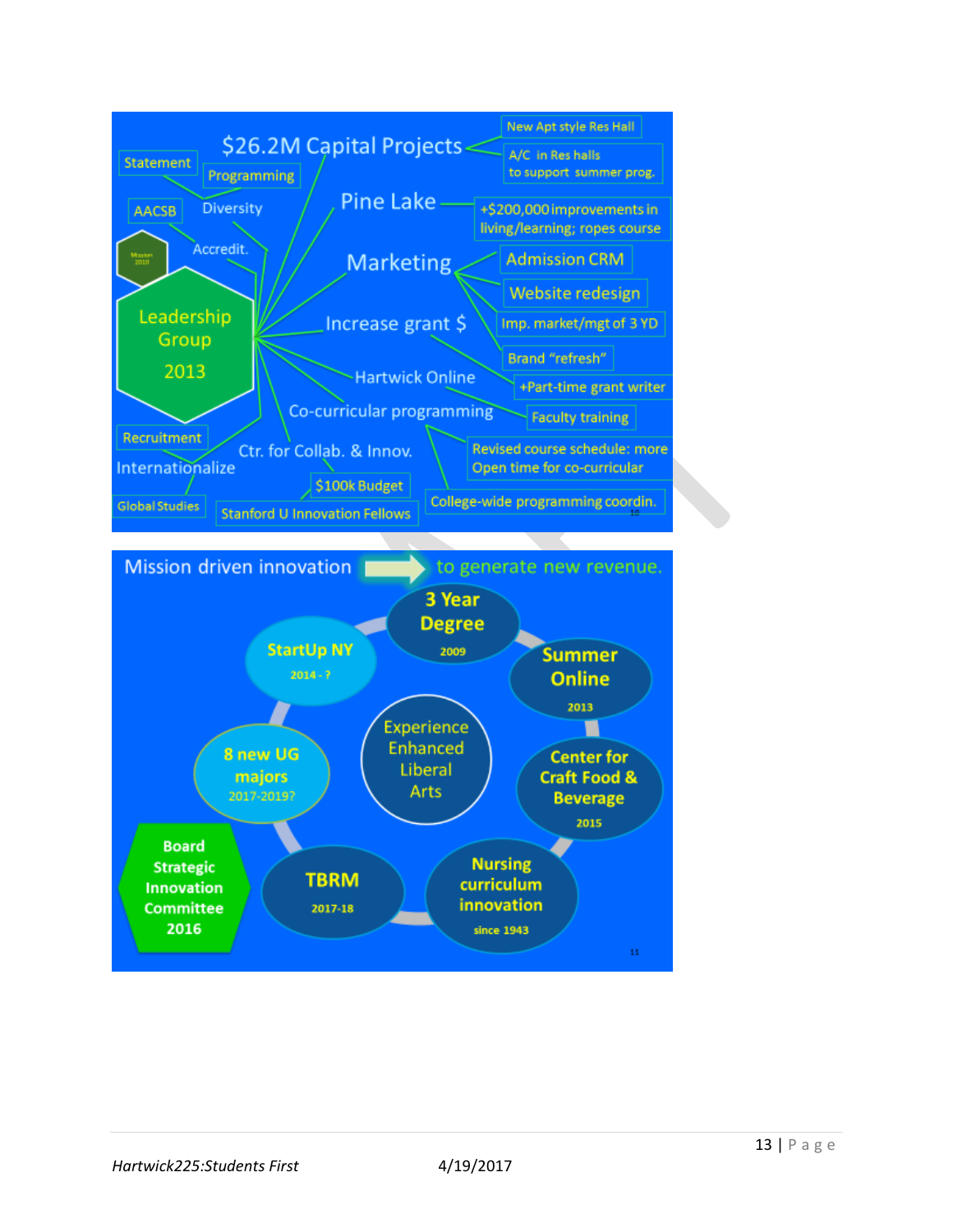

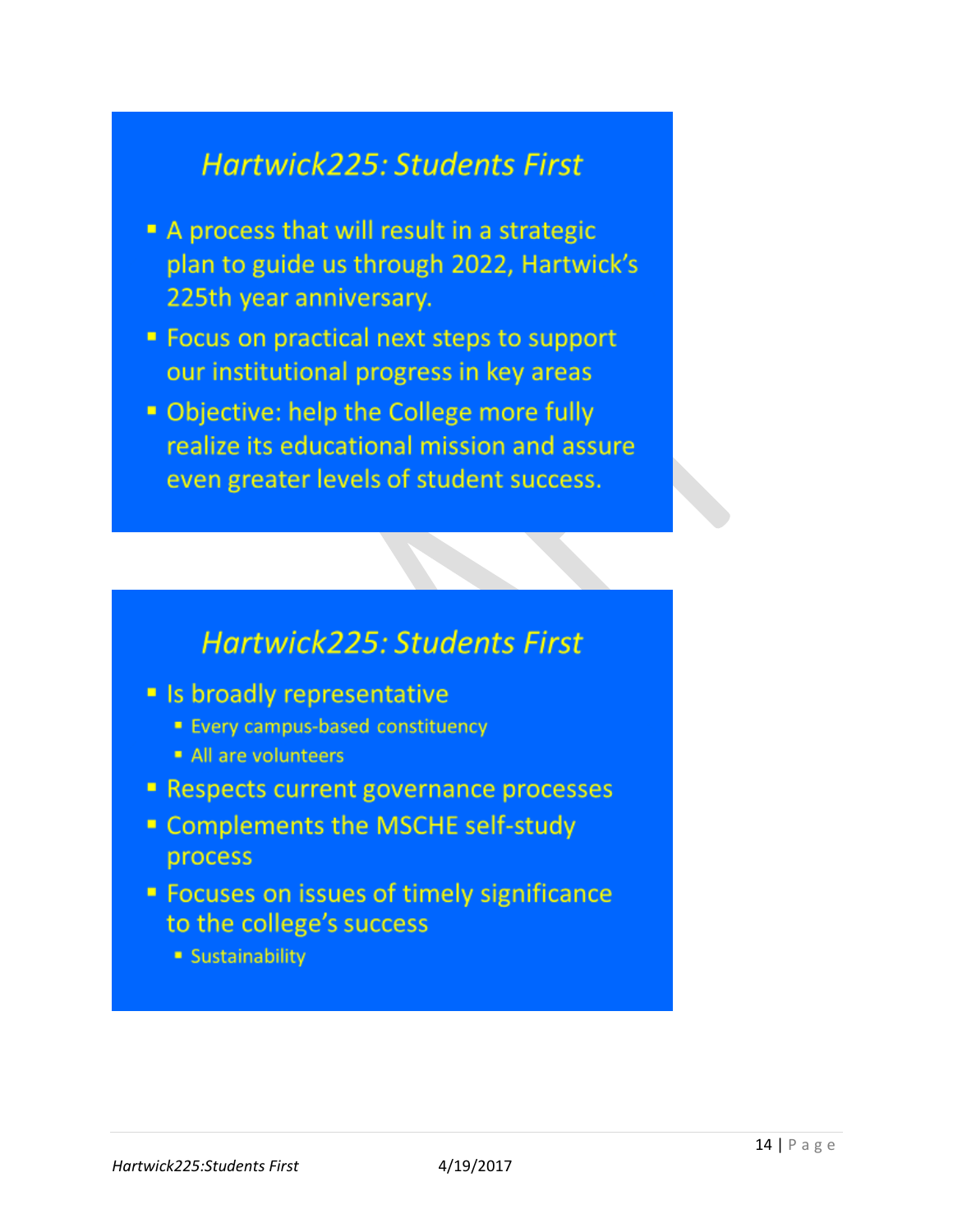# **Hartwick225: Students First**

- A process that will result in a strategic plan to guide us through 2022, Hartwick's 225th year anniversary.
- " Focus on practical next steps to support our institutional progress in key areas
- Objective: help the College more fully realize its educational mission and assure even greater levels of student success.

# **Hartwick225: Students First**

- Is broadly representative
	- **Every campus-based constituency**
	- All are volunteers
- **Respects current governance processes**
- " Complements the MSCHE self-study process
- **Example 1 Focuses on issues of timely significance** to the college's success
	- **Sustainability**